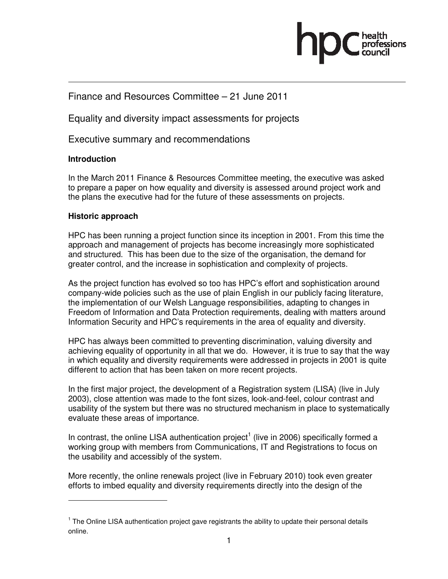

# Finance and Resources Committee – 21 June 2011

Equality and diversity impact assessments for projects

Executive summary and recommendations

# **Introduction**

In the March 2011 Finance & Resources Committee meeting, the executive was asked to prepare a paper on how equality and diversity is assessed around project work and the plans the executive had for the future of these assessments on projects.

# **Historic approach**

 $\overline{a}$ 

HPC has been running a project function since its inception in 2001. From this time the approach and management of projects has become increasingly more sophisticated and structured. This has been due to the size of the organisation, the demand for greater control, and the increase in sophistication and complexity of projects.

As the project function has evolved so too has HPC's effort and sophistication around company-wide policies such as the use of plain English in our publicly facing literature, the implementation of our Welsh Language responsibilities, adapting to changes in Freedom of Information and Data Protection requirements, dealing with matters around Information Security and HPC's requirements in the area of equality and diversity.

HPC has always been committed to preventing discrimination, valuing diversity and achieving equality of opportunity in all that we do. However, it is true to say that the way in which equality and diversity requirements were addressed in projects in 2001 is quite different to action that has been taken on more recent projects.

In the first major project, the development of a Registration system (LISA) (live in July 2003), close attention was made to the font sizes, look-and-feel, colour contrast and usability of the system but there was no structured mechanism in place to systematically evaluate these areas of importance.

In contrast, the online LISA authentication project<sup>1</sup> (live in 2006) specifically formed a working group with members from Communications, IT and Registrations to focus on the usability and accessibly of the system.

More recently, the online renewals project (live in February 2010) took even greater efforts to imbed equality and diversity requirements directly into the design of the

<sup>&</sup>lt;sup>1</sup> The Online LISA authentication project gave registrants the ability to update their personal details online.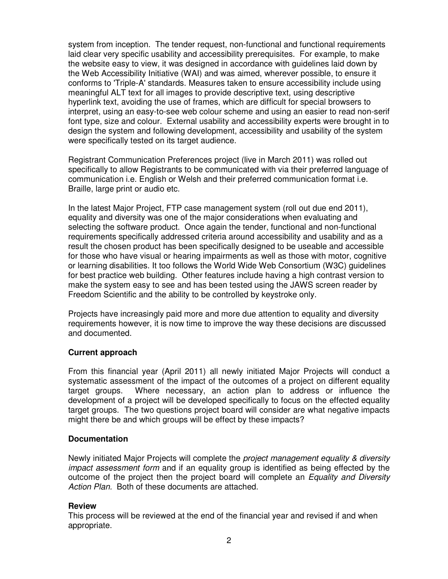system from inception. The tender request, non-functional and functional requirements laid clear very specific usability and accessibility prerequisites. For example, to make the website easy to view, it was designed in accordance with guidelines laid down by the Web Accessibility Initiative (WAI) and was aimed, wherever possible, to ensure it conforms to 'Triple-A' standards. Measures taken to ensure accessibility include using meaningful ALT text for all images to provide descriptive text, using descriptive hyperlink text, avoiding the use of frames, which are difficult for special browsers to interpret, using an easy-to-see web colour scheme and using an easier to read non-serif font type, size and colour. External usability and accessibility experts were brought in to design the system and following development, accessibility and usability of the system were specifically tested on its target audience.

Registrant Communication Preferences project (live in March 2011) was rolled out specifically to allow Registrants to be communicated with via their preferred language of communication i.e. English or Welsh and their preferred communication format i.e. Braille, large print or audio etc.

In the latest Major Project, FTP case management system (roll out due end 2011), equality and diversity was one of the major considerations when evaluating and selecting the software product. Once again the tender, functional and non-functional requirements specifically addressed criteria around accessibility and usability and as a result the chosen product has been specifically designed to be useable and accessible for those who have visual or hearing impairments as well as those with motor, cognitive or learning disabilities. It too follows the World Wide Web Consortium (W3C) guidelines for best practice web building. Other features include having a high contrast version to make the system easy to see and has been tested using the JAWS screen reader by Freedom Scientific and the ability to be controlled by keystroke only.

Projects have increasingly paid more and more due attention to equality and diversity requirements however, it is now time to improve the way these decisions are discussed and documented.

# **Current approach**

From this financial year (April 2011) all newly initiated Major Projects will conduct a systematic assessment of the impact of the outcomes of a project on different equality target groups. Where necessary, an action plan to address or influence the development of a project will be developed specifically to focus on the effected equality target groups. The two questions project board will consider are what negative impacts might there be and which groups will be effect by these impacts?

# **Documentation**

Newly initiated Major Projects will complete the project management equality & diversity impact assessment form and if an equality group is identified as being effected by the outcome of the project then the project board will complete an Equality and Diversity Action Plan. Both of these documents are attached.

# **Review**

This process will be reviewed at the end of the financial year and revised if and when appropriate.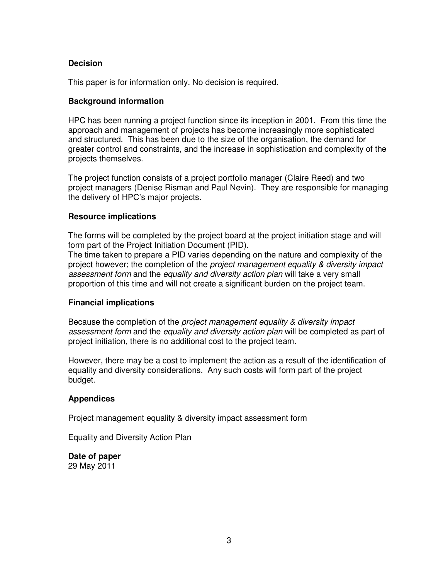# **Decision**

This paper is for information only. No decision is required.

# **Background information**

HPC has been running a project function since its inception in 2001. From this time the approach and management of projects has become increasingly more sophisticated and structured. This has been due to the size of the organisation, the demand for greater control and constraints, and the increase in sophistication and complexity of the projects themselves.

The project function consists of a project portfolio manager (Claire Reed) and two project managers (Denise Risman and Paul Nevin). They are responsible for managing the delivery of HPC's major projects.

## **Resource implications**

The forms will be completed by the project board at the project initiation stage and will form part of the Project Initiation Document (PID).

The time taken to prepare a PID varies depending on the nature and complexity of the project however; the completion of the project management equality & diversity impact assessment form and the equality and diversity action plan will take a very small proportion of this time and will not create a significant burden on the project team.

# **Financial implications**

Because the completion of the project management equality & diversity impact assessment form and the equality and diversity action plan will be completed as part of project initiation, there is no additional cost to the project team.

However, there may be a cost to implement the action as a result of the identification of equality and diversity considerations. Any such costs will form part of the project budget.

## **Appendices**

Project management equality & diversity impact assessment form

Equality and Diversity Action Plan

**Date of paper**  29 May 2011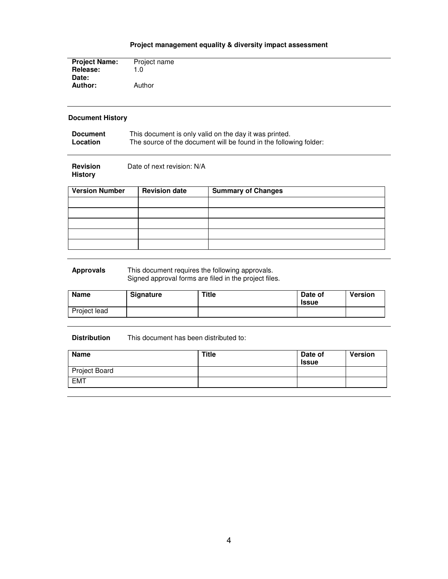## **Project management equality & diversity impact assessment**

| <b>Project Name:</b> | Project name |
|----------------------|--------------|
| Release:             | 1.0          |
| Date:                |              |
| Author:              | Author       |
|                      |              |

## **Document History**

| <b>Document</b> | This document is only valid on the day it was printed.            |
|-----------------|-------------------------------------------------------------------|
| Location        | The source of the document will be found in the following folder: |

| <b>Revision</b> | Date of next revision: N/A |
|-----------------|----------------------------|
| History         |                            |

| <b>Version Number</b> | <b>Revision date</b> | <b>Summary of Changes</b> |
|-----------------------|----------------------|---------------------------|
|                       |                      |                           |
|                       |                      |                           |
|                       |                      |                           |
|                       |                      |                           |
|                       |                      |                           |

#### **Approvals** This document requires the following approvals. Signed approval forms are filed in the project files.

| <b>Name</b>  | <b>Signature</b> | <b>Title</b> | Date of<br><b>Issue</b> | <b>Version</b> |
|--------------|------------------|--------------|-------------------------|----------------|
| Project lead |                  |              |                         |                |

### **Distribution** This document has been distributed to:

| <b>Name</b>   | Title | Date of<br><b>Issue</b> | <b>Version</b> |
|---------------|-------|-------------------------|----------------|
| Project Board |       |                         |                |
| <b>EMT</b>    |       |                         |                |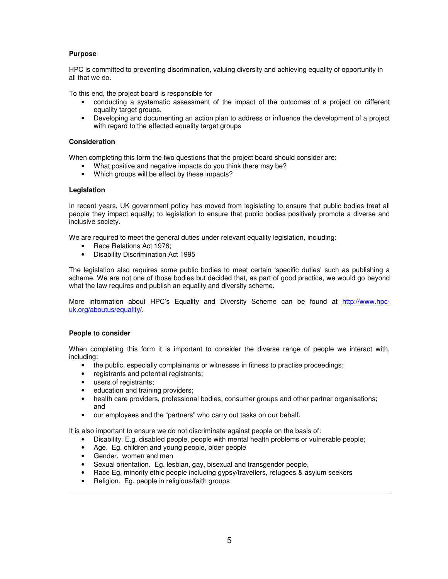### **Purpose**

HPC is committed to preventing discrimination, valuing diversity and achieving equality of opportunity in all that we do.

To this end, the project board is responsible for

- conducting a systematic assessment of the impact of the outcomes of a project on different equality target groups.
- Developing and documenting an action plan to address or influence the development of a project with regard to the effected equality target groups

### **Consideration**

When completing this form the two questions that the project board should consider are:

- What positive and negative impacts do you think there may be?
- Which groups will be effect by these impacts?

### **Legislation**

In recent years, UK government policy has moved from legislating to ensure that public bodies treat all people they impact equally; to legislation to ensure that public bodies positively promote a diverse and inclusive society.

We are required to meet the general duties under relevant equality legislation, including:

- Race Relations Act 1976;
- Disability Discrimination Act 1995

The legislation also requires some public bodies to meet certain 'specific duties' such as publishing a scheme. We are not one of those bodies but decided that, as part of good practice, we would go beyond what the law requires and publish an equality and diversity scheme.

More information about HPC's Equality and Diversity Scheme can be found at http://www.hpcuk.org/aboutus/equality/.

#### **People to consider**

When completing this form it is important to consider the diverse range of people we interact with, including:

- the public, especially complainants or witnesses in fitness to practise proceedings;
- registrants and potential registrants;
- users of registrants;
- education and training providers;
- health care providers, professional bodies, consumer groups and other partner organisations; and
- our employees and the "partners" who carry out tasks on our behalf.

It is also important to ensure we do not discriminate against people on the basis of:

- Disability. E.g. disabled people, people with mental health problems or vulnerable people;
- Age. Eg. children and young people, older people
- Gender. women and men
- Sexual orientation. Eg. lesbian, gay, bisexual and transgender people,
- Race Eg. minority ethic people including gypsy/travellers, refugees & asylum seekers
- Religion. Eg. people in religious/faith groups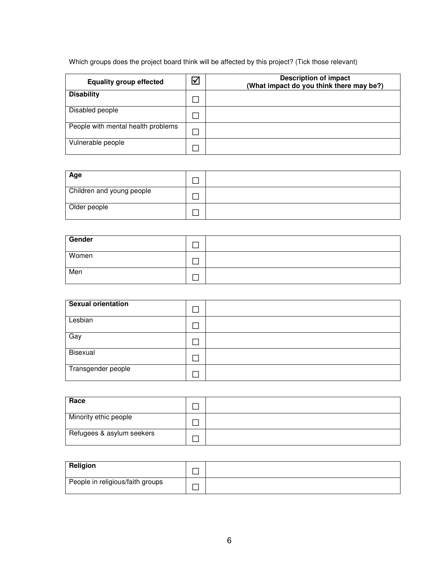# Which groups does the project board think will be affected by this project? (Tick those relevant)

| <b>Equality group effected</b>     | ∇ | <b>Description of impact</b><br>(What impact do you think there may be?) |
|------------------------------------|---|--------------------------------------------------------------------------|
| <b>Disability</b>                  |   |                                                                          |
| Disabled people                    |   |                                                                          |
| People with mental health problems |   |                                                                          |
| Vulnerable people                  |   |                                                                          |

| Age                       |  |
|---------------------------|--|
| Children and young people |  |
| Older people              |  |

| Gender |  |
|--------|--|
| Women  |  |
| Men    |  |

| Sexual orientation |  |
|--------------------|--|
| Lesbian            |  |
| Gay                |  |
| Bisexual           |  |
| Transgender people |  |

| Race                      |  |
|---------------------------|--|
| Minority ethic people     |  |
| Refugees & asylum seekers |  |

| Religion                         |  |
|----------------------------------|--|
| People in religious/faith groups |  |